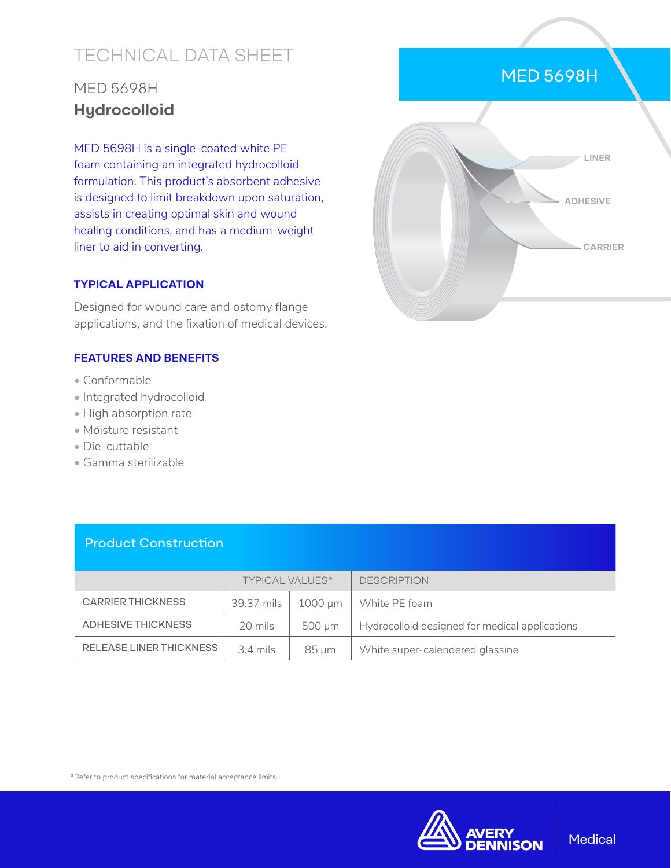# TECHNICAL DATA SHEET

## MED 5698H **Hydrocolloid**

MED 5698H is a single-coated white PE foam containing an integrated hydrocolloid formulation. This product's absorbent adhesive is designed to limit breakdown upon saturation, assists in creating optimal skin and wound healing conditions, and has a medium-weight liner to aid in converting.

#### **TYPICAL APPLICATION**

Designed for wound care and ostomy flange applications, and the fixation of medical devices.

#### **FEATURES AND BENEFITS**

- Conformable
- Integrated hydrocolloid
- High absorption rate
- Moisture resistant
- Die-cuttable
- Gamma sterilizable